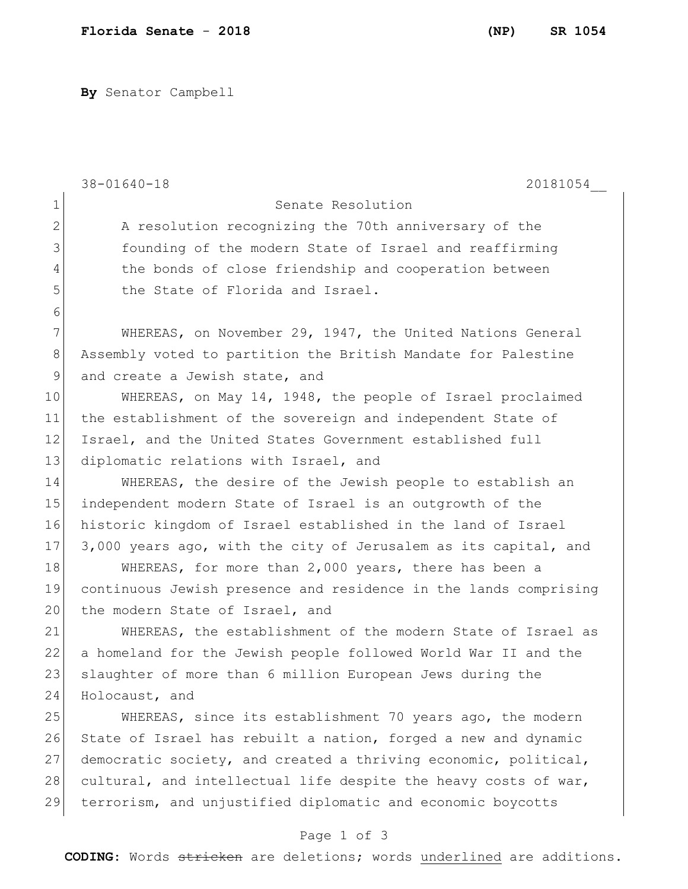**By** Senator Campbell

|                | 20181054<br>$38 - 01640 - 18$                                    |
|----------------|------------------------------------------------------------------|
| $\mathbf 1$    | Senate Resolution                                                |
| $\mathbf{2}$   | A resolution recognizing the 70th anniversary of the             |
| 3              | founding of the modern State of Israel and reaffirming           |
| 4              | the bonds of close friendship and cooperation between            |
| 5              | the State of Florida and Israel.                                 |
| 6              |                                                                  |
| 7              | WHEREAS, on November 29, 1947, the United Nations General        |
| 8              | Assembly voted to partition the British Mandate for Palestine    |
| $\overline{9}$ | and create a Jewish state, and                                   |
| 10             | WHEREAS, on May 14, 1948, the people of Israel proclaimed        |
| 11             | the establishment of the sovereign and independent State of      |
| 12             | Israel, and the United States Government established full        |
| 13             | diplomatic relations with Israel, and                            |
| 14             | WHEREAS, the desire of the Jewish people to establish an         |
| 15             | independent modern State of Israel is an outgrowth of the        |
| 16             | historic kingdom of Israel established in the land of Israel     |
| 17             | 3,000 years ago, with the city of Jerusalem as its capital, and  |
| 18             | WHEREAS, for more than 2,000 years, there has been a             |
| 19             | continuous Jewish presence and residence in the lands comprising |
| 20             | the modern State of Israel, and                                  |
| 21             | WHEREAS, the establishment of the modern State of Israel as      |
| 22             | a homeland for the Jewish people followed World War II and the   |
| 23             | slaughter of more than 6 million European Jews during the        |
| 24             | Holocaust, and                                                   |
| 25             | WHEREAS, since its establishment 70 years ago, the modern        |
| 26             | State of Israel has rebuilt a nation, forged a new and dynamic   |
| 27             | democratic society, and created a thriving economic, political,  |
| 28             | cultural, and intellectual life despite the heavy costs of war,  |
| 29             | terrorism, and unjustified diplomatic and economic boycotts      |
|                | Page 1 of 3                                                      |

**CODING**: Words stricken are deletions; words underlined are additions.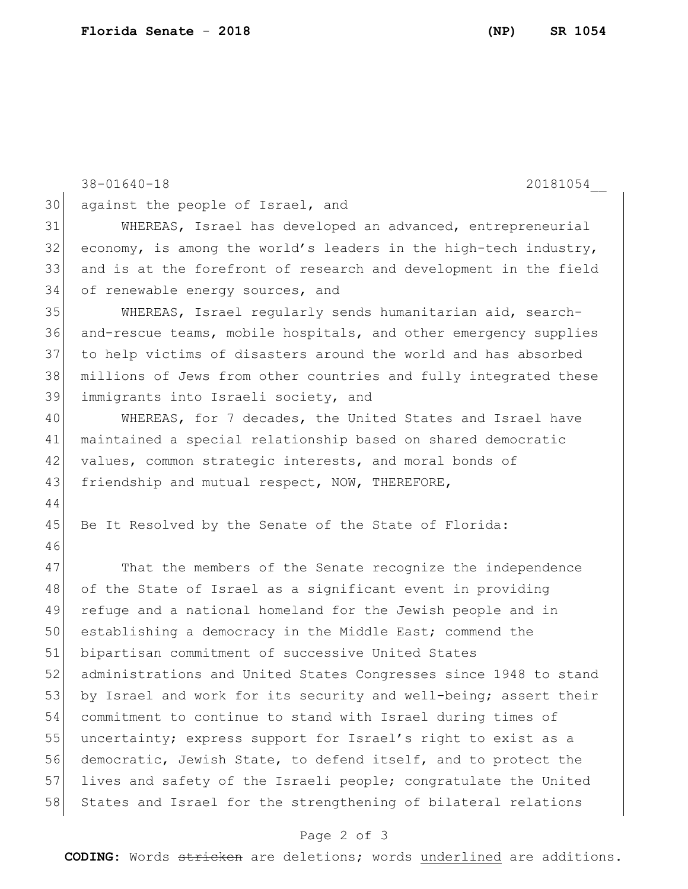44

46

38-01640-18 20181054\_\_ 30 against the people of Israel, and 31 WHEREAS, Israel has developed an advanced, entrepreneurial  $32$  economy, is among the world's leaders in the high-tech industry, 33 and is at the forefront of research and development in the field 34 of renewable energy sources, and 35 WHEREAS, Israel regularly sends humanitarian aid, search-36 and-rescue teams, mobile hospitals, and other emergency supplies 37 to help victims of disasters around the world and has absorbed 38 millions of Jews from other countries and fully integrated these 39 immigrants into Israeli society, and 40 WHEREAS, for 7 decades, the United States and Israel have 41 maintained a special relationship based on shared democratic 42 values, common strategic interests, and moral bonds of 43 friendship and mutual respect, NOW, THEREFORE, 45 Be It Resolved by the Senate of the State of Florida:

47 That the members of the Senate recognize the independence 48 of the State of Israel as a significant event in providing 49 refuge and a national homeland for the Jewish people and in 50 establishing a democracy in the Middle East; commend the 51 bipartisan commitment of successive United States 52 administrations and United States Congresses since 1948 to stand 53 by Israel and work for its security and well-being; assert their 54 commitment to continue to stand with Israel during times of 55 uncertainty; express support for Israel's right to exist as a 56 democratic, Jewish State, to defend itself, and to protect the 57 lives and safety of the Israeli people; congratulate the United 58 States and Israel for the strengthening of bilateral relations

## Page 2 of 3

**CODING**: Words stricken are deletions; words underlined are additions.